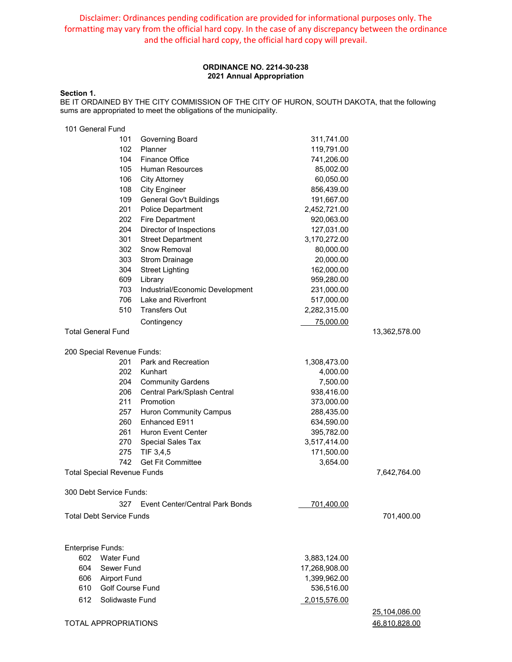Disclaimer: Ordinances pending codification are provided for informational purposes only. The formatting may vary from the official hard copy. In the case of any discrepancy between the ordinance and the official hard copy, the official hard copy will prevail.

## **ORDINANCE NO. 2214-30-238 2021 Annual Appropriation**

### **Section 1.**

BE IT ORDAINED BY THE CITY COMMISSION OF THE CITY OF HURON, SOUTH DAKOTA, that the following sums are appropriated to meet the obligations of the municipality.

| 101 General Fund          |                                    |                                        |               |               |
|---------------------------|------------------------------------|----------------------------------------|---------------|---------------|
|                           | 101                                | Governing Board                        | 311,741.00    |               |
|                           | 102                                | Planner                                | 119,791.00    |               |
|                           | 104                                | <b>Finance Office</b>                  | 741,206.00    |               |
|                           | 105                                | <b>Human Resources</b>                 | 85,002.00     |               |
|                           | 106                                | <b>City Attorney</b>                   | 60,050.00     |               |
|                           | 108                                | <b>City Engineer</b>                   | 856,439.00    |               |
|                           | 109                                | General Gov't Buildings                | 191,667.00    |               |
|                           | 201                                | Police Department                      | 2,452,721.00  |               |
|                           | 202                                | <b>Fire Department</b>                 | 920,063.00    |               |
|                           | 204                                | Director of Inspections                | 127,031.00    |               |
|                           | 301                                | <b>Street Department</b>               | 3,170,272.00  |               |
|                           | 302                                | Snow Removal                           | 80,000.00     |               |
|                           | 303                                | <b>Strom Drainage</b>                  | 20,000.00     |               |
|                           | 304                                | <b>Street Lighting</b>                 | 162,000.00    |               |
|                           | 609                                | Library                                | 959,280.00    |               |
|                           | 703                                | Industrial/Economic Development        | 231,000.00    |               |
|                           | 706                                | Lake and Riverfront                    | 517,000.00    |               |
|                           | 510                                | <b>Transfers Out</b>                   | 2,282,315.00  |               |
|                           |                                    | Contingency                            | 75,000.00     |               |
| <b>Total General Fund</b> |                                    |                                        |               | 13,362,578.00 |
|                           | 200 Special Revenue Funds:         |                                        |               |               |
|                           | 201                                | Park and Recreation                    | 1,308,473.00  |               |
|                           | 202                                | Kunhart                                | 4,000.00      |               |
|                           | 204                                | <b>Community Gardens</b>               | 7,500.00      |               |
|                           | 206                                | Central Park/Splash Central            | 938,416.00    |               |
|                           | 211                                | Promotion                              | 373,000.00    |               |
|                           | 257                                | <b>Huron Community Campus</b>          | 288,435.00    |               |
|                           | 260                                | Enhanced E911                          | 634,590.00    |               |
|                           | 261                                | <b>Huron Event Center</b>              | 395,782.00    |               |
|                           | 270                                | Special Sales Tax                      | 3,517,414.00  |               |
|                           | 275                                | TIF 3,4,5                              | 171,500.00    |               |
|                           | 742                                | <b>Get Fit Committee</b>               | 3,654.00      |               |
|                           | <b>Total Special Revenue Funds</b> |                                        |               | 7,642,764.00  |
|                           | 300 Debt Service Funds:            |                                        |               |               |
|                           | 327                                | <b>Event Center/Central Park Bonds</b> | 701,400.00    |               |
|                           | <b>Total Debt Service Funds</b>    |                                        |               | 701,400.00    |
|                           |                                    |                                        |               |               |
| <b>Enterprise Funds:</b>  |                                    |                                        |               |               |
| 602                       | <b>Water Fund</b>                  |                                        | 3,883,124.00  |               |
| 604                       | Sewer Fund                         |                                        | 17,268,908.00 |               |
|                           | 606 Airport Fund                   |                                        | 1,399,962.00  |               |
| 610                       | <b>Golf Course Fund</b>            |                                        | 536,516.00    |               |
| 612                       | Solidwaste Fund                    |                                        | 2,015,576.00  |               |
|                           |                                    |                                        |               | 25,104,086.00 |
|                           | TOTAL APPROPRIATIONS               |                                        |               | 46,810,828.00 |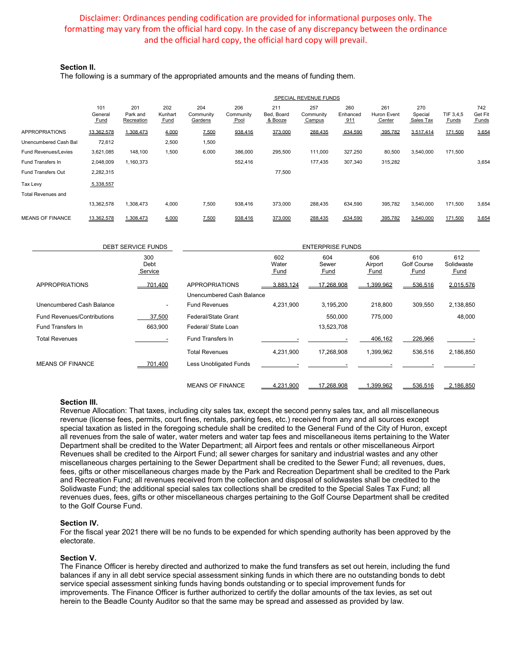# Disclaimer: Ordinances pending codification are provided for informational purposes only. The formatting may vary from the official hard copy. In the case of any discrepancy between the ordinance and the official hard copy, the official hard copy will prevail.

### **Section II.**

The following is a summary of the appropriated amounts and the means of funding them.

|                             | SPECIAL REVENUE FUNDS  |                               |                               |                             |                          |                              |                            |                        |                              |                             |                    |                         |
|-----------------------------|------------------------|-------------------------------|-------------------------------|-----------------------------|--------------------------|------------------------------|----------------------------|------------------------|------------------------------|-----------------------------|--------------------|-------------------------|
|                             | 101<br>General<br>Fund | 201<br>Park and<br>Recreation | 202<br>Kunhart<br><b>Fund</b> | 204<br>Community<br>Gardens | 206<br>Community<br>Pool | 211<br>Bed. Board<br>& Booze | 257<br>Community<br>Campus | 260<br>Enhanced<br>911 | 261<br>Huron Event<br>Center | 270<br>Special<br>Sales Tax | TIF 3,4,5<br>Funds | 742<br>Get Fit<br>Funds |
| <b>APPROPRIATIONS</b>       | 13,362,578             | 1,308,473                     | 4,000                         | 7,500                       | 938,416                  | 373,000                      | 288,435                    | 634,590                | 395,782                      | 3,517,414                   | 171,500            | 3,654                   |
| Unencumbered Cash Bal       | 72,612                 |                               | 2,500                         | 1,500                       |                          |                              |                            |                        |                              |                             |                    |                         |
| <b>Fund Revenues/Levies</b> | 3,621,085              | 148,100                       | 1,500                         | 6,000                       | 386,000                  | 295,500                      | 111,000                    | 327,250                | 80,500                       | 3,540,000                   | 171,500            |                         |
| Fund Transfers In           | 2,048,009              | 1,160,373                     |                               |                             | 552,416                  |                              | 177,435                    | 307,340                | 315,282                      |                             |                    | 3,654                   |
| Fund Transfers Out          | 2,282,315              |                               |                               |                             |                          | 77,500                       |                            |                        |                              |                             |                    |                         |
| Tax Levy                    | 5,338,557              |                               |                               |                             |                          |                              |                            |                        |                              |                             |                    |                         |
| <b>Total Revenues and</b>   |                        |                               |                               |                             |                          |                              |                            |                        |                              |                             |                    |                         |
|                             | 13,362,578             | 1,308,473                     | 4,000                         | 7,500                       | 938,416                  | 373,000                      | 288,435                    | 634,590                | 395,782                      | 3,540,000                   | 171,500            | 3,654                   |
| <b>MEANS OF FINANCE</b>     | 13,362,578             | 1,308,473                     | 4,000                         | 7,500                       | 938,416                  | 373,000                      | 288,435                    | 634,590                | 395,782                      | 3,540,000                   | 171,500            | 3,654                   |

|                             | <b>DEBT SERVICE FUNDS</b> |                           |                             | <b>ENTERPRISE FUNDS</b>     |                               |                                          |                                  |
|-----------------------------|---------------------------|---------------------------|-----------------------------|-----------------------------|-------------------------------|------------------------------------------|----------------------------------|
|                             | 300<br>Debt<br>Service    |                           | 602<br>Water<br><b>Fund</b> | 604<br>Sewer<br><u>Fund</u> | 606<br>Airport<br><b>Fund</b> | 610<br><b>Golf Course</b><br><b>Fund</b> | 612<br>Solidwaste<br><b>Fund</b> |
| <b>APPROPRIATIONS</b>       | 701,400                   | <b>APPROPRIATIONS</b>     | 3,883,124                   | 17.268.908                  | .399.962                      | 536,516                                  | 2,015,576                        |
|                             |                           | Unencumbered Cash Balance |                             |                             |                               |                                          |                                  |
| Unencumbered Cash Balance   | ٠                         | <b>Fund Revenues</b>      | 4,231,900                   | 3,195,200                   | 218,800                       | 309,550                                  | 2,138,850                        |
| Fund Revenues/Contributions | 37,500                    | Federal/State Grant       |                             | 550,000                     | 775,000                       |                                          | 48,000                           |
| <b>Fund Transfers In</b>    | 663,900                   | Federal/ State Loan       |                             | 13,523,708                  |                               |                                          |                                  |
| <b>Total Revenues</b>       |                           | Fund Transfers In         |                             |                             | 406,162                       | 226,966                                  |                                  |
|                             |                           | <b>Total Revenues</b>     | 4,231,900                   | 17,268,908                  | 1,399,962                     | 536,516                                  | 2,186,850                        |
| <b>MEANS OF FINANCE</b>     | 701.400                   | Less Unobligated Funds    |                             |                             |                               |                                          |                                  |
|                             |                           | <b>MEANS OF FINANCE</b>   | 4,231,900                   | 17.268.908                  | .399,962                      | 536,516                                  | 2,186,850                        |

#### **Section III.**

Revenue Allocation: That taxes, including city sales tax, except the second penny sales tax, and all miscellaneous revenue (license fees, permits, court fines, rentals, parking fees, etc.) received from any and all sources except special taxation as listed in the foregoing schedule shall be credited to the General Fund of the City of Huron, except all revenues from the sale of water, water meters and water tap fees and miscellaneous items pertaining to the Water Department shall be credited to the Water Department; all Airport fees and rentals or other miscellaneous Airport Revenues shall be credited to the Airport Fund; all sewer charges for sanitary and industrial wastes and any other miscellaneous charges pertaining to the Sewer Department shall be credited to the Sewer Fund; all revenues, dues, fees, gifts or other miscellaneous charges made by the Park and Recreation Department shall be credited to the Park and Recreation Fund; all revenues received from the collection and disposal of solidwastes shall be credited to the Solidwaste Fund; the additional special sales tax collections shall be credited to the Special Sales Tax Fund; all revenues dues, fees, gifts or other miscellaneous charges pertaining to the Golf Course Department shall be credited to the Golf Course Fund.

### **Section IV.**

For the fiscal year 2021 there will be no funds to be expended for which spending authority has been approved by the electorate.

#### **Section V.**

The Finance Officer is hereby directed and authorized to make the fund transfers as set out herein, including the fund balances if any in all debt service special assessment sinking funds in which there are no outstanding bonds to debt service special assessment sinking funds having bonds outstanding or to special improvement funds for improvements. The Finance Officer is further authorized to certify the dollar amounts of the tax levies, as set out herein to the Beadle County Auditor so that the same may be spread and assessed as provided by law.